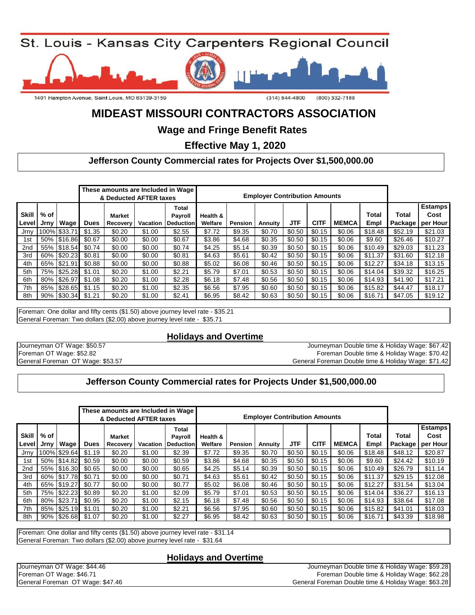



# **MIDEAST MISSOURI CONTRACTORS ASSOCIATION**

**Wage and Fringe Benefit Rates** 

 **Effective May 1, 2020**

### **Jefferson County Commercial rates for Projects Over \$1,500,000.00**

|                         |              |              |             | & Deducted AFTER taxes |          | These amounts are Included in Wage          |                     |                | <b>Employer Contribution Amounts</b> |            |             |              |               |                  |                                     |
|-------------------------|--------------|--------------|-------------|------------------------|----------|---------------------------------------------|---------------------|----------------|--------------------------------------|------------|-------------|--------------|---------------|------------------|-------------------------------------|
| <b>Skill</b><br>l Level | % of<br>Jrnv | <b>Wage</b>  | <b>Dues</b> | Market<br>Recovery     | Vacation | <b>Total</b><br>Payroll<br><b>Deduction</b> | Health &<br>Welfare | <b>Pension</b> | Annuity                              | <b>JTF</b> | <b>CITF</b> | <b>MEMCA</b> | Total<br>Empl | Total<br>Package | <b>Estamps!</b><br>Cost<br>per Hour |
| Jrnv                    |              | 100% \$33.71 | \$1.35      | \$0.20                 | \$1.00   | \$2.55                                      | \$7.72              | \$9.35         | \$0.70                               | \$0.50     | \$0.15      | \$0.06       | \$18.48       | \$52.19          | \$21.03                             |
| 1st                     |              | 50% \$16.86  | \$0.67      | \$0.00                 | \$0.00   | \$0.67                                      | \$3.86              | \$4.68         | \$0.35                               | \$0.50     | \$0.15      | \$0.06       | \$9.60        | \$26.46          | \$10.27                             |
| 2nd                     |              | 55% \$18.54  | \$0.74      | \$0.00                 | \$0.00   | \$0.74                                      | \$4.25              | \$5.14         | \$0.39                               | \$0.50     | \$0.15      | \$0.06       | \$10.49       | \$29.03          | \$11.23                             |
| 3rd                     |              | 60% \$20.23  | \$0.81      | \$0.00                 | \$0.00   | \$0.81                                      | \$4.63              | \$5.61         | \$0.42                               | \$0.50     | \$0.15      | \$0.06       | \$11.37       | \$31.60          | \$12.18                             |
| 4th                     |              | 65% \$21.91  | \$0.88      | \$0.00                 | \$0.00   | \$0.88                                      | \$5.02              | \$6.08         | \$0.46                               | \$0.50     | \$0.15      | \$0.06       | \$12.27       | \$34.18          | \$13.15                             |
| 5th                     |              | 75% \$25.28  | \$1.01      | \$0.20                 | \$1.00   | \$2.21                                      | \$5.79              | \$7.01         | \$0.53                               | \$0.50     | \$0.15      | \$0.06       | \$14.04       | \$39.32          | \$16.25                             |
| 6th                     |              | 80% \$26.97  | \$1.08      | \$0.20                 | \$1.00   | \$2.28                                      | \$6.18              | \$7.48         | \$0.56                               | \$0.50     | \$0.15      | \$0.06       | \$14.93       | \$41.90          | \$17.21                             |
| 7th                     |              | 85% \$28.65  | \$1.15      | \$0.20                 | \$1.00   | \$2.35                                      | \$6.56              | \$7.95         | \$0.60                               | \$0.50     | \$0.15      | \$0.06       | \$15.82       | \$44.47          | \$18.17                             |
| 8th                     |              | 90% \$30.34  | \$1.21      | \$0.20                 | \$1.00   | \$2.41                                      | \$6.95              | \$8.42         | \$0.63                               | \$0.50     | \$0.15      | \$0.06       | \$16.71       | \$47.05          | \$19.12                             |

Foreman: One dollar and fifty cents (\$1.50) above journey level rate - \$35.21 General Foreman: Two dollars (\$2.00) above journey level rate - \$35.71

#### **Holidays and Overtime**

Journeyman OT Wage: \$50.57 Foreman OT Wage: \$52.82 General Foreman OT Wage: \$53.57

Foreman Double time & Holiday Wage: \$70.42 Journeyman Double time & Holiday Wage: \$67.42 General Foreman Double time & Holiday Wage: \$71.42

#### **Jefferson County Commercial rates for Projects Under \$1,500,000.00**

|                       |              |              |             | & Deducted AFTER taxes    |          | These amounts are Included in Wage                 |                     |         | <b>Employer Contribution Amounts</b> |            |             |              |               |                         |                                    |
|-----------------------|--------------|--------------|-------------|---------------------------|----------|----------------------------------------------------|---------------------|---------|--------------------------------------|------------|-------------|--------------|---------------|-------------------------|------------------------------------|
| <b>Skill</b><br>Level | % of<br>Jrnv | <b>Wage</b>  | <b>Dues</b> | <b>Market</b><br>Recovery | Vacation | <b>Total</b><br><b>Payroll</b><br><b>Deduction</b> | Health &<br>Welfare | Pension | Annuity                              | <b>JTF</b> | <b>CITF</b> | <b>MEMCA</b> | Total<br>Empl | Total<br><b>Package</b> | <b>Estamps</b><br>Cost<br>per Hour |
| Jrny                  |              | 100% \$29.64 | \$1.19      | \$0.20                    | \$1.00   | \$2.39                                             | \$7.72              | \$9.35  | \$0.70                               | \$0.50     | \$0.15      | \$0.06       | \$18.48       | \$48.12                 | \$20.87                            |
| 1st                   |              | 50% \$14.82  | \$0.59      | \$0.00                    | \$0.00   | \$0.59                                             | \$3.86              | \$4.68  | \$0.35                               | \$0.50     | \$0.15      | \$0.06       | \$9.60        | \$24.42                 | \$10.19                            |
| 2nd                   |              | 55% \$16.30  | \$0.65      | \$0.00                    | \$0.00   | \$0.65                                             | \$4.25              | \$5.14  | \$0.39                               | \$0.50     | \$0.15      | \$0.06       | \$10.49       | \$26.79                 | \$11.14                            |
| 3rd                   |              | 60% \$17.78  | \$0.71      | \$0.00                    | \$0.00   | \$0.71                                             | \$4.63              | \$5.61  | \$0.42                               | \$0.50     | \$0.15      | \$0.06       | \$11.37       | \$29.15                 | \$12.08                            |
| 4th                   |              | 65% \$19.27  | \$0.77      | \$0.00                    | \$0.00   | \$0.77                                             | \$5.02              | \$6.08  | \$0.46                               | \$0.50     | \$0.15      | \$0.06       | \$12.27       | \$31.54                 | \$13.04                            |
| 5th                   |              | 75% \$22.23  | \$0.89      | \$0.20                    | \$1.00   | \$2.09                                             | \$5.79              | \$7.01  | \$0.53                               | \$0.50     | \$0.15      | \$0.06       | \$14.04       | \$36.27                 | \$16.13                            |
| 6th                   | 80%          | \$23.71      | \$0.95      | \$0.20                    | \$1.00   | \$2.15                                             | \$6.18              | \$7.48  | \$0.56                               | \$0.50     | \$0.15      | \$0.06       | \$14.93       | \$38.64                 | \$17.08                            |
| 7th                   |              | 85% \$25.19  | \$1.01      | \$0.20                    | \$1.00   | \$2.21                                             | \$6.56              | \$7.95  | \$0.60                               | \$0.50     | \$0.15      | \$0.06       | \$15.82       | \$41.01                 | \$18.03                            |
| 8th                   |              | 90% \$26.68  | \$1.07      | \$0.20                    | \$1.00   | \$2.27                                             | \$6.95              | \$8.42  | \$0.63                               | \$0.50     | \$0.15      | \$0.06       | \$16.71       | \$43.39                 | \$18.98                            |

Foreman: One dollar and fifty cents (\$1.50) above journey level rate - \$31.14 General Foreman: Two dollars (\$2.00) above journey level rate - \$31.64

#### **Holidays and Overtime**

General Foreman OT Wage: \$47.46 General Foreman Double time & Holiday Wage: \$63.28 Journeyman OT Wage: \$44.46 Journeyman Double time & Holiday Wage: \$59.28 Foreman OT Wage: \$46.71 Foreman Double time & Holiday Wage: \$62.28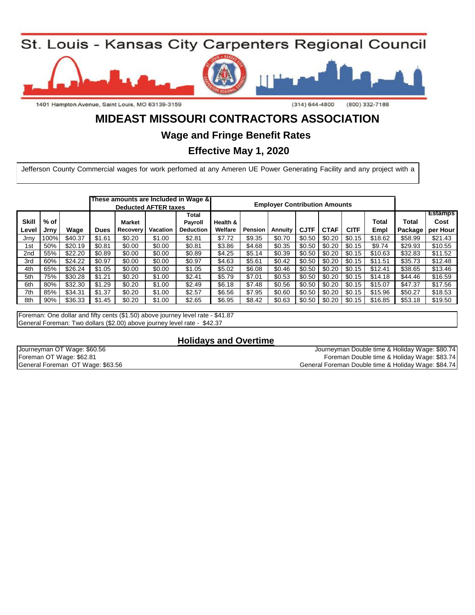

1401 Hampton Avenue, Saint Louis, MO 63139-3159

 $(314) 644 - 4800$  $(800)$  332-7188

# **MIDEAST MISSOURI CONTRACTORS ASSOCIATION**

**Wage and Fringe Benefit Rates** 

 **Effective May 1, 2020**

Jefferson County Commercial wages for work perfomed at any Ameren UE Power Generating Facility and any project with a

|                       |              |         |             |                           | <b>Deducted AFTER taxes</b> | These amounts are Included in Wage & |                     |                | <b>Employer Contribution Amounts</b> |             |             |             |               |         |                                              |
|-----------------------|--------------|---------|-------------|---------------------------|-----------------------------|--------------------------------------|---------------------|----------------|--------------------------------------|-------------|-------------|-------------|---------------|---------|----------------------------------------------|
| <b>Skill</b><br>Level | % of<br>Jrnv | Wage    | <b>Dues</b> | <b>Market</b><br>Recovery | Vacation                    | Total<br>Payroll<br><b>Deduction</b> | Health &<br>Welfare | <b>Pension</b> | Annuity                              | <b>CJTF</b> | <b>CTAF</b> | <b>CITF</b> | Total<br>Empl | Total   | <b>Estamps</b><br>Cost<br>Package   per Hour |
| Jrnv                  | 100%         | \$40.37 | \$1.61      | \$0.20                    | \$1.00                      | \$2.81                               | \$7.72              | \$9.35         | \$0.70                               | \$0.50      | \$0.20      | \$0.15      | \$18.62       | \$58.99 | \$21.43                                      |
| 1st                   | 50%          | \$20.19 | \$0.81      | \$0.00                    | \$0.00                      | \$0.81                               | \$3.86              | \$4.68         | \$0.35                               | \$0.50      | \$0.20      | \$0.15      | \$9.74        | \$29.93 | \$10.55                                      |
| 2 <sub>nd</sub>       | 55%          | \$22.20 | \$0.89      | \$0.00                    | \$0.00                      | \$0.89                               | \$4.25              | \$5.14         | \$0.39                               | \$0.50      | \$0.20      | \$0.15      | \$10.63       | \$32.83 | \$11.52                                      |
| 3rd                   | 60%          | \$24.22 | \$0.97      | \$0.00                    | \$0.00                      | \$0.97                               | \$4.63              | \$5.61         | \$0.42                               | \$0.50      | \$0.20      | \$0.15      | \$11.51       | \$35.73 | \$12.48                                      |
| 4th                   | 65%          | \$26.24 | \$1.05      | \$0.00                    | \$0.00                      | \$1.05                               | \$5.02              | \$6.08         | \$0.46                               | \$0.50      | \$0.20      | \$0.15      | \$12.41       | \$38.65 | \$13.46                                      |
| 5th                   | 75%          | \$30.28 | \$1.21      | \$0.20                    | \$1.00                      | \$2.41                               | \$5.79              | \$7.01         | \$0.53                               | \$0.50      | \$0.20      | \$0.15      | \$14.18       | \$44.46 | \$16.59                                      |
| 6th                   | 80%          | \$32.30 | \$1.29      | \$0.20                    | \$1.00                      | \$2.49                               | \$6.18              | \$7.48         | \$0.56                               | \$0.50      | \$0.20      | \$0.15      | \$15.07       | \$47.37 | \$17.56                                      |
| 7th                   | 85%          | \$34.31 | \$1.37      | \$0.20                    | \$1.00                      | \$2.57                               | \$6.56              | \$7.95         | \$0.60                               | \$0.50      | \$0.20      | \$0.15      | \$15.96       | \$50.27 | \$18.53                                      |
| 8th                   | 90%          | \$36.33 | \$1.45      | \$0.20                    | \$1.00                      | \$2.65                               | \$6.95              | \$8.42         | \$0.63                               | \$0.50      | \$0.20      | \$0.15      | \$16.85       | \$53.18 | \$19.50                                      |

Foreman: One dollar and fifty cents (\$1.50) above journey level rate - \$41.87 General Foreman: Two dollars (\$2.00) above journey level rate - \$42.37

**Holidays and Overtime**

| Journeyman OT Wage: \$60.56      | Journeyman Double time & Holiday Wage: \$80.74      |
|----------------------------------|-----------------------------------------------------|
| Foreman OT Wage: \$62.81         | Foreman Double time & Holiday Wage: \$83.74         |
| General Foreman OT Wage: \$63.56 | General Foreman Double time & Holiday Wage: \$84.74 |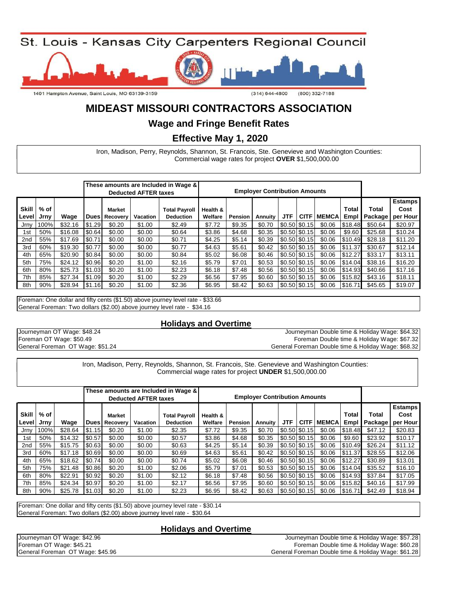

1401 Hampton Avenue, Saint Louis, MO 63139-3159

 $(314) 644 - 4800$  $(800)$  332-7188

## **MIDEAST MISSOURI CONTRACTORS ASSOCIATION**

#### **Wage and Fringe Benefit Rates**

 **Effective May 1, 2020**

Listed below is the schedule for wages and fringe benefits for carpenters and working millwrights in the Missouri workingcounties in the Illinois of: counties of: Commercial wage rates for project **OVER** \$1,500,000.00 Iron, Madison, Perry, Reynolds, Shannon, St. Francois, Ste. Genevieve and Washington Counties:

|                       |              |         |             |                    | <b>Deducted AFTER taxes</b> | These amounts are Included in Wage &     | <b>Employer Contribution Amounts</b> |         |                |                 |                 |              |               |                  |                                    |
|-----------------------|--------------|---------|-------------|--------------------|-----------------------------|------------------------------------------|--------------------------------------|---------|----------------|-----------------|-----------------|--------------|---------------|------------------|------------------------------------|
| <b>Skill</b><br>Level | % of<br>Jrnv | Wage    | <b>Dues</b> | Market<br>Recovery | Vacation                    | <b>Total Payroll</b><br><b>Deduction</b> | Health &<br>Welfare                  | Pension | <b>Annuity</b> | JTF             | <b>CITF</b>     | <b>MEMCA</b> | Total<br>Empl | Total<br>Package | <b>Estamps</b><br>Cost<br>per Hour |
| Jrnv                  | 100%         | \$32.16 | \$1.29      | \$0.20             | \$1.00                      | \$2.49                                   | \$7.72                               | \$9.35  | \$0.70         |                 | $$0.50$ $$0.15$ | \$0.06       | \$18.48       | \$50.64          | \$20.97                            |
| 1st                   | 50%          | \$16.08 | \$0.64      | \$0.00             | \$0.00                      | \$0.64                                   | \$3.86                               | \$4.68  | \$0.35         | $$0.50$ $$0.15$ |                 | \$0.06       | \$9.60        | \$25.68          | \$10.24                            |
| 2nd                   | 55%          | \$17.69 | \$0.71      | \$0.00             | \$0.00                      | \$0.71                                   | \$4.25                               | \$5.14  | \$0.39         | $$0.50$ $$0.15$ |                 | \$0.06       | \$10.49       | \$28.18          | \$11.20                            |
| 3rd                   | 60%          | \$19.30 | \$0.77      | \$0.00             | \$0.00                      | \$0.77                                   | \$4.63                               | \$5.61  | \$0.42         | $$0.50$ $$0.15$ |                 | \$0.06       | \$11.37       | \$30.67          | \$12.14                            |
| 4th                   | 65%          | \$20.90 | \$0.84      | \$0.00             | \$0.00                      | \$0.84                                   | \$5.02                               | \$6.08  | \$0.46         | $$0.50$ \$0.15  |                 | \$0.06       | \$12.27       | \$33.17          | \$13.11                            |
| 5th                   | 75%          | \$24.12 | \$0.96      | \$0.20             | \$1.00                      | \$2.16                                   | \$5.79                               | \$7.01  | \$0.53         | $$0.50$ $$0.15$ |                 | \$0.06       | \$14.04       | \$38.16          | \$16.20                            |
| 6th                   | 80%          | \$25.73 | \$1.03      | \$0.20             | \$1.00                      | \$2.23                                   | \$6.18                               | \$7.48  | \$0.56         |                 | $$0.50$ $$0.15$ | \$0.06       | \$14.93       | \$40.66          | \$17.16                            |
| 7th                   | 85%          | \$27.34 | \$1.09      | \$0.20             | \$1.00                      | \$2.29                                   | \$6.56                               | \$7.95  | \$0.60         |                 | $$0.50$ $$0.15$ | \$0.06       | \$15.82       | \$43.16          | \$18.11                            |
| 8th                   | 90%          | \$28.94 | \$1.16      | \$0.20             | \$1.00                      | \$2.36                                   | \$6.95                               | \$8.42  | \$0.63         | $$0.50$ $$0.15$ |                 | \$0.06       | \$16.71       | \$45.65          | \$19.07                            |

Foreman: One dollar and fifty cents (\$1.50) above journey level rate - \$33.66 General Foreman: Two dollars (\$2.00) above journey level rate - \$34.16

#### **Holidays and Overtime**

General Foreman OT Wage: \$51.24 General Foreman Double time & Holiday Wage: \$68.32 Journeyman OT Wage: \$48.24 Journeyman Double time & Holiday Wage: \$64.32 Foreman OT Wage: \$50.49 Foreman Double time & Holiday Wage: \$67.32

Listed benefits friend friends for the Schedule for the Missouri wages and wage mill wage rates for project UNDER \$1,500,000.00 Iron, Madison, Perry, Reynolds, Shannon, St. Francois, Ste. Genevieve and Washington Counties:

|                       |              |         |             |                    | <b>Deducted AFTER taxes</b> | These amounts are Included in Wage &     | <b>Employer Contribution Amounts</b> |         |         |                 |             |              |               |                  |                                    |
|-----------------------|--------------|---------|-------------|--------------------|-----------------------------|------------------------------------------|--------------------------------------|---------|---------|-----------------|-------------|--------------|---------------|------------------|------------------------------------|
| <b>Skill</b><br>Level | % of<br>Jrny | Wage    | <b>Dues</b> | Market<br>Recovery | <b>Vacation</b>             | <b>Total Payroll</b><br><b>Deduction</b> | Health &<br>Welfare                  | Pension | Annuity | JTF.            | <b>CITF</b> | <b>MEMCA</b> | Total<br>Empl | Total<br>Package | <b>Estamps</b><br>Cost<br>per Hour |
| Jrny                  | 100%         | \$28.64 | \$1.15      | \$0.20             | \$1.00                      | \$2.35                                   | \$7.72                               | \$9.35  | \$0.70  | $$0.50$ $$0.15$ |             | \$0.06       | \$18.48       | \$47.12          | \$20.83                            |
| 1st                   | 50%          | \$14.32 | \$0.57      | \$0.00             | \$0.00                      | \$0.57                                   | \$3.86                               | \$4.68  | \$0.35  | \$0.50 \$0.15   |             | \$0.06       | \$9.60        | \$23.92          | \$10.17                            |
| 2 <sub>nd</sub>       | 55%          | \$15.75 | \$0.63      | \$0.00             | \$0.00                      | \$0.63                                   | \$4.25                               | \$5.14  | \$0.39  | \$0.50 \$0.15   |             | \$0.06       | \$10.49       | \$26.24          | \$11.12                            |
| 3rd                   | 60%          | \$17.18 | \$0.69      | \$0.00             | \$0.00                      | \$0.69                                   | \$4.63                               | \$5.61  | \$0.42  | $$0.50$ $$0.15$ |             | \$0.06       | \$11.37       | \$28.55          | \$12.06                            |
| 4th                   | 65%          | \$18.62 | \$0.74      | \$0.00             | \$0.00                      | \$0.74                                   | \$5.02                               | \$6.08  | \$0.46  | $$0.50$ $$0.15$ |             | \$0.06       | \$12.27       | \$30.89          | \$13.01                            |
| 5th                   | 75%          | \$21.48 | \$0.86      | \$0.20             | \$1.00                      | \$2.06                                   | \$5.79                               | \$7.01  | \$0.53  | $$0.50$ $$0.15$ |             | \$0.06       | \$14.04       | \$35.52          | \$16.10                            |
| 6th                   | 80%          | \$22.91 | \$0.92      | \$0.20             | \$1.00                      | \$2.12                                   | \$6.18                               | \$7.48  | \$0.56  | $$0.50$ $$0.15$ |             | \$0.06       | \$14.93       | \$37.84          | \$17.05                            |
| 7th                   | 85%          | \$24.34 | \$0.97      | \$0.20             | \$1.00                      | \$2.17                                   | \$6.56                               | \$7.95  | \$0.60  | $$0.50$ $$0.15$ |             | \$0.06       | \$15.82       | \$40.16          | \$17.99                            |
| 8th                   | 90%          | \$25.78 | \$1.03      | \$0.20             | \$1.00                      | \$2.23                                   | \$6.95                               | \$8.42  | \$0.63  | $$0.50$ $$0.15$ |             | \$0.06       | \$16.71       | \$42.49          | \$18.94                            |

Foreman: One dollar and fifty cents (\$1.50) above journey level rate - \$30.14 General Foreman: Two dollars (\$2.00) above journey level rate - \$30.64

#### **Holidays and Overtime**

| Journeyman OT Wage: \$42.96      | Journeyman Double time & Holiday Wage: \$57.28      |
|----------------------------------|-----------------------------------------------------|
| Foreman OT Wage: \$45.21         | Foreman Double time & Holiday Wage: \$60.28         |
| General Foreman OT Wage: \$45.96 | General Foreman Double time & Holiday Wage: \$61.28 |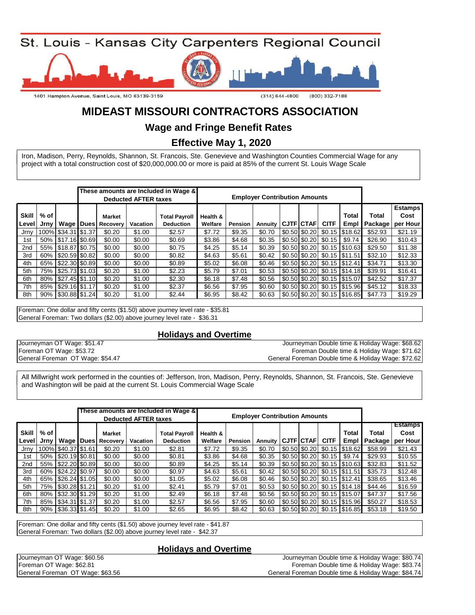

# **MIDEAST MISSOURI CONTRACTORS ASSOCIATION**

## **Wage and Fringe Benefit Rates**

 **Effective May 1, 2020**

project with a total construction cost of \$20,000,000.00 or more is paid at 85% of the current St. Louis Wage Scale Iron, Madison, Perry, Reynolds, Shannon, St. Francois, Ste. Genevieve and Washington Counties Commercial Wage for any

|                       |              |                        |                    | <b>Deducted AFTER taxes</b> | These amounts are Included in Wage &     |                     |         | <b>Employer Contribution Amounts</b> |                  |                                                       |                                                              |                         |                                    |
|-----------------------|--------------|------------------------|--------------------|-----------------------------|------------------------------------------|---------------------|---------|--------------------------------------|------------------|-------------------------------------------------------|--------------------------------------------------------------|-------------------------|------------------------------------|
| <b>Skill</b><br>Level | % of<br>Jrny | Wage   Dues            | Market<br>Recovery | Vacation                    | <b>Total Payroll</b><br><b>Deduction</b> | Health &<br>Welfare | Pension | Annuity                              | <b>CJTF</b> CTAF | <b>CITF</b>                                           | Total<br>Empl                                                | <b>Total</b><br>Package | <b>Estamps</b><br>Cost<br>per Hour |
| Jrnv                  |              | 100% \$34.31 \$1.37    | \$0.20             | \$1.00                      | \$2.57                                   | \$7.72              | \$9.35  | \$0.70                               |                  | $$0.50 \, \times 0.20 \, \times 0.15$                 | \$18.62                                                      | \$52.93                 | \$21.19                            |
| 1st                   | 50%          | \$17.16 \$0.69         | \$0.00             | \$0.00                      | \$0.69                                   | \$3.86              | \$4.68  | \$0.35                               |                  | $$0.50 \, \text{\AA} \, 50.20 \, \text{\AA} \, 50.15$ | \$9.74                                                       | \$26.90                 | \$10.43                            |
| 2 <sub>nd</sub>       | 55%          | \$18.87 \$0.75         | \$0.00             | \$0.00                      | \$0.75                                   | \$4.25              | \$5.14  | \$0.39                               |                  |                                                       | $$0.50$ $$0.20$ $$0.15$ $$10.63$                             | \$29.50                 | \$11.38                            |
| 3rd                   |              | 60%   \$20.59   \$0.82 | \$0.00             | \$0.00                      | \$0.82                                   | \$4.63              | \$5.61  | \$0.42                               |                  |                                                       | \$0.50 \$0.20 \$0.15 \\$11.51                                | \$32.10                 | \$12.33                            |
| 4th                   |              | 65%   \$22.30 \$0.89   | \$0.00             | \$0.00                      | \$0.89                                   | \$5.02              | \$6.08  | \$0.46                               |                  |                                                       | $\vert$ \$0.50 $\vert$ \$0.20 $\vert$ \$0.15 $\vert$ \$12.41 | \$34.71                 | \$13.30                            |
| 5th                   |              | 75%   \$25.73   \$1.03 | \$0.20             | \$1.00                      | \$2.23                                   | \$5.79              | \$7.01  | \$0.53                               |                  |                                                       | \$0.50 \$0.20 \$0.15 \\$14.18                                | \$39.91                 | \$16.41                            |
| 6th                   |              | 80%   \$27.45   \$1.10 | \$0.20             | \$1.00                      | \$2.30                                   | \$6.18              | \$7.48  | \$0.56                               |                  |                                                       | \$0.50 \$0.20 \$0.15 \$15.07                                 | \$42.52                 | \$17.37                            |
| 7th                   |              | 85%   \$29.16 \$1.17   | \$0.20             | \$1.00                      | \$2.37                                   | \$6.56              | \$7.95  | \$0.60                               |                  |                                                       | $$0.50 \, \text{\$}0.20 \, \text{\$}0.15 \, \text{\$}15.96$  | \$45.12                 | \$18.33                            |
| 8th                   |              | 90%   \$30.88   \$1.24 | \$0.20             | \$1.00                      | \$2.44                                   | \$6.95              | \$8.42  | \$0.63                               |                  |                                                       | \$0.50 \$0.20 \$0.15 \$16.85                                 | \$47.73                 | \$19.29                            |

Foreman: One dollar and fifty cents (\$1.50) above journey level rate - \$35.81 General Foreman: Two dollars (\$2.00) above journey level rate - \$36.31

#### **Holidays and Overtime**

Journeyman OT Wage: \$51.47 Foreman OT Wage: \$53.72 General Foreman OT Wage: \$54.47

| Journeyman Double time & Holiday Wage: \$68.62      |
|-----------------------------------------------------|
| Foreman Double time & Holiday Wage: \$71.62         |
| General Foreman Double time & Holiday Wage: \$72.62 |

and Washington will be paid at the current St. Louis Commercial Wage Scale All Millwright work performed in the counties of: Jefferson, Iron, Madison, Perry, Reynolds, Shannon, St. Francois, Ste. Genevieve

|                       |              |                        |                    | <b>Deducted AFTER taxes</b> | These amounts are Included in Wage &     |                     |         | <b>Employer Contribution Amounts</b> |                   |                                                      |                                                              |                         |                                    |
|-----------------------|--------------|------------------------|--------------------|-----------------------------|------------------------------------------|---------------------|---------|--------------------------------------|-------------------|------------------------------------------------------|--------------------------------------------------------------|-------------------------|------------------------------------|
| <b>Skill</b><br>Level | % of<br>Jrnv | Wage Dues              | Market<br>Recovery | Vacation                    | <b>Total Payroll</b><br><b>Deduction</b> | Health &<br>Welfare | Pension | Annuity                              | <b>CJTF CTAFI</b> | <b>CITF</b>                                          | Total<br>Empl                                                | Total<br><b>Package</b> | <b>Estamps</b><br>Cost<br>per Hour |
| Jrny                  |              | 100% \$40.37 \$1.61    | \$0.20             | \$1.00                      | \$2.81                                   | \$7.72              | \$9.35  | \$0.70                               |                   |                                                      | $\vert$ \$0.50 $\vert$ \$0.20 $\vert$ \$0.15 $\vert$ \$18.62 | \$58.99                 | \$21.43                            |
| 1st                   |              | 50%   \$20.19   \$0.81 | \$0.00             | \$0.00                      | \$0.81                                   | \$3.86              | \$4.68  | \$0.35                               |                   | $\vert$ \$0.50 $\vert$ \$0.20 $\vert$ \$0.15 $\vert$ | \$9.74                                                       | \$29.93                 | \$10.55                            |
| 2 <sub>nd</sub>       |              | 55%   \$22.20 \$0.89   | \$0.00             | \$0.00                      | \$0.89                                   | \$4.25              | \$5.14  | \$0.39                               |                   |                                                      | \$0.50 \$0.20 \$0.15 \$10.63                                 | \$32.83                 | \$11.52                            |
| 3rd                   |              | 60%   \$24.22 \$0.97   | \$0.00             | \$0.00                      | \$0.97                                   | \$4.63              | \$5.61  | \$0.42                               |                   |                                                      | \$0.50 \$0.20 \$0.15 \$11.51                                 | \$35.73                 | \$12.48                            |
| 4th                   |              | 65%   \$26.24   \$1.05 | \$0.00             | \$0.00                      | \$1.05                                   | \$5.02              | \$6.08  | \$0.46                               |                   |                                                      | \$0.50 \$0.20 \$0.15 \$12.41                                 | \$38.65                 | \$13.46                            |
| 5th                   |              | 75%   \$30.28   \$1.21 | \$0.20             | \$1.00                      | \$2.41                                   | \$5.79              | \$7.01  | \$0.53                               |                   |                                                      | \$0.50 \$0.20 \$0.15 \\$14.18                                | \$44.46                 | \$16.59                            |
| 6th                   |              | 80%   \$32.30   \$1.29 | \$0.20             | \$1.00                      | \$2.49                                   | \$6.18              | \$7.48  | \$0.56                               |                   |                                                      | $\vert$ \$0.50 $\vert$ \$0.20 $\vert$ \$0.15 $\vert$ \$15.07 | \$47.37                 | \$17.56                            |
| 7th                   |              | 85%   \$34.31   \$1.37 | \$0.20             | \$1.00                      | \$2.57                                   | \$6.56              | \$7.95  | \$0.60                               |                   |                                                      | $$0.50 \, \text{\$}0.20 \, \text{\$}0.15 \, \text{\$}15.96$  | \$50.27                 | \$18.53                            |
| 8th                   |              | 90%   \$36.33 \$1.45   | \$0.20             | \$1.00                      | \$2.65                                   | \$6.95              | \$8.42  | \$0.63                               |                   |                                                      | $$0.50 \, \text{\$}0.20 \, \text{\$}0.15 \, \text{\$}16.85$  | \$53.18                 | \$19.50                            |

Foreman: One dollar and fifty cents (\$1.50) above journey level rate - \$41.87 General Foreman: Two dollars (\$2.00) above journey level rate - \$42.37

#### **Holidays and Overtime**

General Foreman OT Wage: \$63.56 General Foreman Double time & Holiday Wage: \$84.74 Journeyman OT Wage: \$60.56 Journeyman Double time & Holiday Wage: \$80.74 Foreman OT Wage: \$62.81 Foreman Double time & Holiday Wage: \$83.74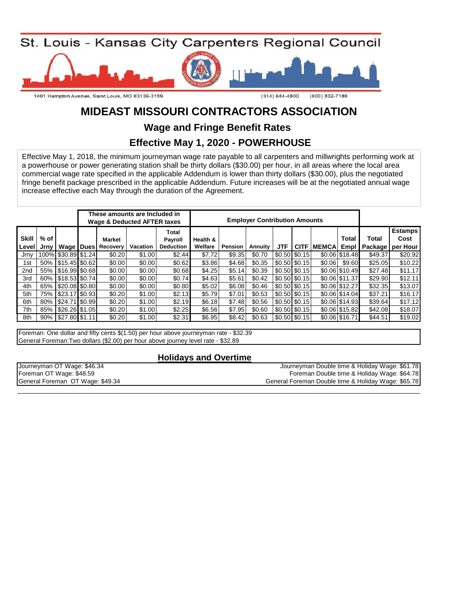

# **MIDEAST MISSOURI CONTRACTORS ASSOCIATION**

**Wage and Fringe Benefit Rates** 

### **Effective May 1, 2020 - POWERHOUSE**

Effective May 1, 2018, the minimum journeyman wage rate payable to all carpenters and millwrights performing work at a powerhouse or power generating station shall be thirty dollars (\$30.00) per hour, in all areas where the local area commercial wage rate specified in the applicable Addendum is lower than thirty dollars (\$30.00), plus the negotiated fringe benefit package prescribed in the applicable Addendum. Future increases will be at the negotiated annual wage increase effective each May through the duration of the Agreement.

|                       |              |                        |                                     | These amounts are Included in<br><b>Wage &amp; Deducted AFTER taxes</b> |                                      |                     |         | <b>Employer Contribution Amounts</b> |                                |                 |               |                 |              |                                              |
|-----------------------|--------------|------------------------|-------------------------------------|-------------------------------------------------------------------------|--------------------------------------|---------------------|---------|--------------------------------------|--------------------------------|-----------------|---------------|-----------------|--------------|----------------------------------------------|
| <b>Skill</b><br>Level | % of<br>Jrnv |                        | Market<br><b>Wage Dues Recovery</b> | Vacation                                                                | Total<br>Payroll<br><b>Deduction</b> | Health &<br>Welfare | Pension | Annuity                              | <b>JTF</b>                     | <b>CITF</b>     | <b>MEMCAL</b> | Total<br>Empl I | <b>Total</b> | <b>Estamps</b><br>Cost<br>Package   per Hour |
| Jrnv                  |              | 100% \$30.89 \$1.24    | \$0.20                              | \$1.00                                                                  | \$2.44                               | \$7.72              | \$9.35  | \$0.70                               |                                | $$0.50$ $$0.15$ |               | \$0.06 \$18.48  | \$49.37      | \$20.92                                      |
| 1st                   |              | 50%   \$15.45   \$0.62 | \$0.00                              | \$0.00                                                                  | \$0.62                               | \$3.86              | \$4.68  | \$0.35                               | $$0.50$ $$0.15$                |                 | \$0.06        | \$9.60          | \$25.05      | \$10.22                                      |
| 2nd                   | 55%          | \$16.99 \$0.68         | \$0.00                              | \$0.00                                                                  | \$0.68                               | \$4.25              | \$5.14  | \$0.39                               |                                | $$0.50$ $$0.15$ |               | \$0.06 \$10.49  | \$27.48      | \$11.17                                      |
| 3rd                   |              | 60%   \$18.53 \$0.74   | \$0.00                              | \$0.00                                                                  | \$0.74                               | \$4.63              | \$5.61  | \$0.42                               | \$0.50 \$0.15                  |                 |               | \$0.06 \$11.37  | \$29.90      | \$12.11                                      |
| 4th                   | 65%          | \$20.08 \$0.80         | \$0.00                              | \$0.00                                                                  | \$0.80                               | \$5.02              | \$6.08  | \$0.46                               | \$0.50 \$0.15                  |                 |               | \$0.06 \$12.27  | \$32.35      | \$13.07                                      |
| 5th                   | 75%          | \$23.17 \$0.93         | \$0.20                              | \$1.00                                                                  | \$2.13                               | \$5.79              | \$7.01  | \$0.53                               | $$0.50 \, \text{\AA} \, 50.15$ |                 |               | \$0.06 \$14.04  | \$37.21      | \$16.17                                      |
| 6th                   | 80%          | \$24.71 \$0.99         | \$0.20                              | \$1.00                                                                  | \$2.19                               | \$6.18              | \$7.48  | \$0.56                               |                                | $$0.50$ $$0.15$ |               | \$0.06 \$14.93  | \$39.64      | \$17.12                                      |
| 7th                   | 85%          | \$26.26 \$1.05         | \$0.20                              | \$1.00                                                                  | \$2.25                               | \$6.56              | \$7.95  | \$0.60                               |                                | $$0.50$ $$0.15$ |               | \$0.06 \$15.82  | \$42.08      | \$18.07                                      |
| 8th                   | 90%          | $$27.80$ $$1.11$       | \$0.20                              | \$1.00                                                                  | \$2.31                               | \$6.95              | \$8.42  | \$0.63                               |                                | $$0.50$ $$0.15$ |               | \$0.06 \$16.71  | \$44.51      | \$19.02                                      |

Foreman: One dollar and fifty cents \$(1.50) per hour above journeyman rate - \$32.39 General Foreman:Two dollars (\$2.00) per hour above journey level rate - \$32.89

#### **Holidays and Overtime**

| Journeyman OT Wage: \$46.34      | Journeyman Double time & Holiday Wage: \$61.78      |
|----------------------------------|-----------------------------------------------------|
| Foreman OT Wage: \$48.59         | Foreman Double time & Holiday Wage: \$64.78         |
| General Foreman OT Wage: \$49.34 | General Foreman Double time & Holiday Wage: \$65.78 |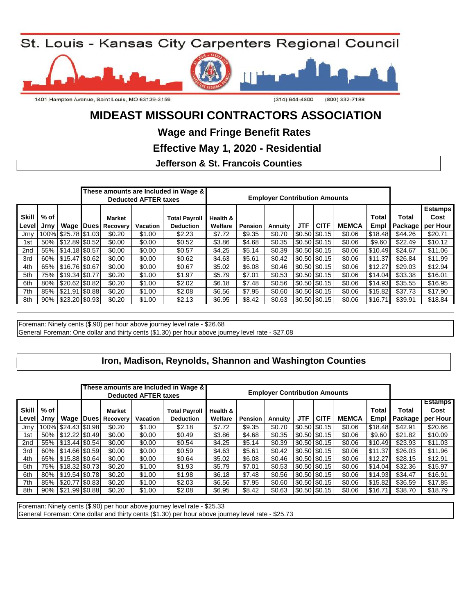St. Louis - Kansas City Carpenters Regional Council



# **MIDEAST MISSOURI CONTRACTORS ASSOCIATION**

**Wage and Fringe Benefit Rates** 

 **Effective May 1, 2020 - Residential**

### **Jefferson & St. Francois Counties**

|                |                |                        |          |                           | <b>Deducted AFTER taxes</b> | These amounts are Included in Wage &     | <b>Employer Contribution Amounts</b> |                |         |            |                 |              |               |                  |                                    |
|----------------|----------------|------------------------|----------|---------------------------|-----------------------------|------------------------------------------|--------------------------------------|----------------|---------|------------|-----------------|--------------|---------------|------------------|------------------------------------|
| Skill<br>Level | $%$ of<br>Jrny | Wage I                 | l Dues I | <b>Market</b><br>Recovery | <b>Vacation</b>             | <b>Total Payroll</b><br><b>Deduction</b> | Health &<br>Welfare                  | <b>Pension</b> | Annuity | <b>JTF</b> | <b>CITF</b>     | <b>MEMCA</b> | Total<br>Empl | Total<br>Package | <b>Estamps</b><br>Cost<br>per Hour |
| Jrnv           |                | 100% \$25.78 \$1.03    |          | \$0.20                    | \$1.00                      | \$2.23                                   | \$7.72                               | \$9.35         | \$0.70  |            | \$0.50 \$0.15   | \$0.06       | \$18.48       | \$44.26          | \$20.71                            |
| 1st            |                | 50%   \$12.89 \$0.52   |          | \$0.00                    | \$0.00                      | \$0.52                                   | \$3.86                               | \$4.68         | \$0.35  |            | \$0.50 \$0.15   | \$0.06       | \$9.60        | \$22.49          | \$10.12                            |
| 2nd            |                | 55%   \$14.18 \$0.57   |          | \$0.00                    | \$0.00                      | \$0.57                                   | \$4.25                               | \$5.14         | \$0.39  |            | \$0.50 \$0.15   | \$0.06       | \$10.49       | \$24.67          | \$11.06                            |
| 3rd            |                | 60%   \$15.47 \$0.62   |          | \$0.00                    | \$0.00                      | \$0.62                                   | \$4.63                               | \$5.61         | \$0.42  |            | \$0.50 \$0.15   | \$0.06       | \$11.37       | \$26.84          | \$11.99                            |
| 4th            |                | 65%   \$16.76   \$0.67 |          | \$0.00                    | \$0.00                      | \$0.67                                   | \$5.02                               | \$6.08         | \$0.46  |            | $$0.50$ $$0.15$ | \$0.06       | \$12.27       | \$29.03          | \$12.94                            |
| 5th            |                | 75%   \$19.34   \$0.77 |          | \$0.20                    | \$1.00                      | \$1.97                                   | \$5.79                               | \$7.01         | \$0.53  |            | \$0.50 \$0.15   | \$0.06       | \$14.04       | \$33.38          | \$16.01                            |
| 6th            |                | 80% \$20.62 \$0.82     |          | \$0.20                    | \$1.00                      | \$2.02                                   | \$6.18                               | \$7.48         | \$0.56  |            | \$0.50 \$0.15   | \$0.06       | \$14.93       | \$35.55          | \$16.95                            |
| 7th            |                | 85%   \$21.91   \$0.88 |          | \$0.20                    | \$1.00                      | \$2.08                                   | \$6.56                               | \$7.95         | \$0.60  |            | \$0.50 \$0.15   | \$0.06       | \$15.82       | \$37.73          | \$17.90                            |
| 8th            |                | 90%   \$23.20 \$0.93   |          | \$0.20                    | \$1.00                      | \$2.13                                   | \$6.95                               | \$8.42         | \$0.63  |            | $$0.50$ $$0.15$ | \$0.06       | \$16.71       | \$39.91          | \$18.84                            |

Foreman: Ninety cents (\$.90) per hour above journey level rate - \$26.68 General Foreman: One dollar and thirty cents (\$1.30) per hour above journey level rate - \$27.08

### Iron, Madison, Reynolds, Shannon and Washington Counties

|                       |                |                        |                    | <b>Deducted AFTER taxes</b> | These amounts are Included in Wage &     | <b>Employer Contribution Amounts</b> |                |         |            |                 |              |               |                         |                                    |
|-----------------------|----------------|------------------------|--------------------|-----------------------------|------------------------------------------|--------------------------------------|----------------|---------|------------|-----------------|--------------|---------------|-------------------------|------------------------------------|
| <b>Skill</b><br>Level | $%$ of<br>Jrnv | Wage   Dues            | Market<br>Recovery | <b>Vacation</b>             | <b>Total Payroll</b><br><b>Deduction</b> | Health &<br>Welfare                  | <b>Pension</b> | Annuity | <b>JTF</b> | <b>CITF</b>     | <b>MEMCA</b> | Total<br>Empl | Total<br><b>Package</b> | <b>Estamps</b><br>Cost<br>per Hour |
| Jrny                  |                | 100% \$24.43 \$0.98    | \$0.20             | \$1.00                      | \$2.18                                   | \$7.72                               | \$9.35         | \$0.70  |            | \$0.50 \$0.15   | \$0.06       | \$18.48       | \$42.91                 | \$20.66                            |
| 1st                   |                | 50% 512.22 \$0.49      | \$0.00             | \$0.00                      | \$0.49                                   | \$3.86                               | \$4.68         | \$0.35  |            | \$0.50 \$0.15   | \$0.06       | \$9.60        | \$21.82                 | \$10.09                            |
| 2nd                   |                | 55% 513.44 \$0.54      | \$0.00             | \$0.00                      | \$0.54                                   | \$4.25                               | \$5.14         | \$0.39  |            | $$0.50$ $$0.15$ | \$0.06       | \$10.49       | \$23.93                 | \$11.03                            |
| 3rd                   |                | 60% 514.66 \$0.59      | \$0.00             | \$0.00                      | \$0.59                                   | \$4.63                               | \$5.61         | \$0.42  |            | $$0.50$ $$0.15$ | \$0.06       | \$11.37       | \$26.03                 | \$11.96                            |
| 4th                   |                | 65%   \$15.88 \$0.64   | \$0.00             | \$0.00                      | \$0.64                                   | \$5.02                               | \$6.08         | \$0.46  |            | $$0.50$ $$0.15$ | \$0.06       | \$12.27       | \$28.15                 | \$12.91                            |
| 5th                   |                | 75%   \$18.32 \$0.73   | \$0.20             | \$1.00                      | \$1.93                                   | \$5.79                               | \$7.01         | \$0.53  |            | \$0.50 \$0.15   | \$0.06       | \$14.04       | \$32.36                 | \$15.97                            |
| 6th                   |                | 80%   \$19.54   \$0.78 | \$0.20             | \$1.00                      | \$1.98                                   | \$6.18                               | \$7.48         | \$0.56  |            | \$0.50 \$0.15   | \$0.06       | \$14.93       | \$34.47                 | \$16.91                            |
| 7th                   |                | 85% S20.77 \$0.83      | \$0.20             | \$1.00                      | \$2.03                                   | \$6.56                               | \$7.95         | \$0.60  |            | \$0.50 \$0.15   | \$0.06       | \$15.82       | \$36.59                 | \$17.85                            |
| 8th                   |                | 90%   \$21.99   \$0.88 | \$0.20             | \$1.00                      | \$2.08                                   | \$6.95                               | \$8.42         | \$0.63  |            | $$0.50$ \$0.15  | \$0.06       | \$16.71       | \$38.70                 | \$18.79                            |

Foreman: Ninety cents (\$.90) per hour above journey level rate - \$25.33

General Foreman: One dollar and thirty cents (\$1.30) per hour above journey level rate - \$25.73